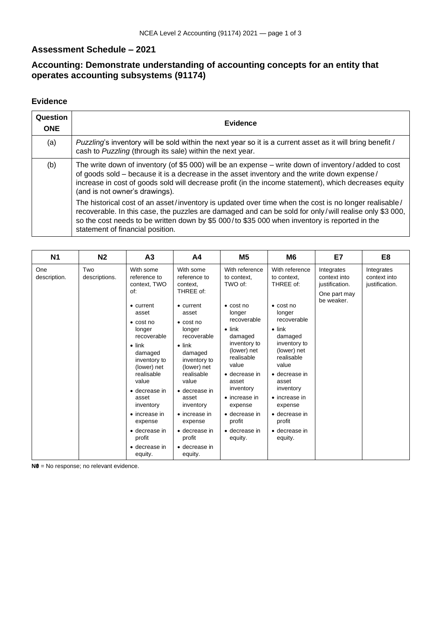## **Assessment Schedule – 2021**

## **Accounting: Demonstrate understanding of accounting concepts for an entity that operates accounting subsystems (91174)**

## **Evidence**

| Question<br><b>ONE</b> | <b>Evidence</b>                                                                                                                                                                                                                                                                                                                                      |
|------------------------|------------------------------------------------------------------------------------------------------------------------------------------------------------------------------------------------------------------------------------------------------------------------------------------------------------------------------------------------------|
| (a)                    | Puzzling's inventory will be sold within the next year so it is a current asset as it will bring benefit /<br>cash to Puzzling (through its sale) within the next year.                                                                                                                                                                              |
| (b)                    | The write down of inventory (of \$5 000) will be an expense – write down of inventory/added to cost<br>of goods sold – because it is a decrease in the asset inventory and the write down expense/<br>increase in cost of goods sold will decrease profit (in the income statement), which decreases equity<br>(and is not owner's drawings).        |
|                        | The historical cost of an asset/inventory is updated over time when the cost is no longer realisable/<br>recoverable. In this case, the puzzles are damaged and can be sold for only/will realise only \$3 000,<br>so the cost needs to be written down by \$5 000/to \$35 000 when inventory is reported in the<br>statement of financial position. |

| <b>N1</b>           | N <sub>2</sub>       | A3                                                                                                                                                                                                                                                                              | A4                                                                                                                                                                                                                                                                      | M <sub>5</sub>                                                                                                                                                                                                    | M6                                                                                                                                                                                                        | E7                                                                         | E <sub>8</sub>                               |
|---------------------|----------------------|---------------------------------------------------------------------------------------------------------------------------------------------------------------------------------------------------------------------------------------------------------------------------------|-------------------------------------------------------------------------------------------------------------------------------------------------------------------------------------------------------------------------------------------------------------------------|-------------------------------------------------------------------------------------------------------------------------------------------------------------------------------------------------------------------|-----------------------------------------------------------------------------------------------------------------------------------------------------------------------------------------------------------|----------------------------------------------------------------------------|----------------------------------------------|
| One<br>description. | Two<br>descriptions. | With some<br>reference to<br>context, TWO<br>of:<br>$\bullet$ current<br>asset                                                                                                                                                                                                  | With some<br>reference to<br>context,<br>THREE of:<br>$\bullet$ current<br>asset                                                                                                                                                                                        | With reference<br>to context.<br>TWO of:<br>$\bullet$ cost no<br>longer<br>recoverable                                                                                                                            | With reference<br>to context.<br>THREE of:<br>$\bullet$ cost no<br>longer<br>recoverable                                                                                                                  | Integrates<br>context into<br>justification.<br>One part may<br>be weaker. | Integrates<br>context into<br>justification. |
|                     |                      | $\bullet$ cost no<br>longer<br>recoverable<br>$\bullet$ link<br>damaged<br>inventory to<br>(lower) net<br>realisable<br>value<br>$\bullet$ decrease in<br>asset<br>inventory<br>$\bullet$ increase in<br>expense<br>• decrease in<br>profit<br>$\bullet$ decrease in<br>equity. | $\bullet$ cost no<br>longer<br>recoverable<br>$\bullet$ link<br>damaged<br>inventory to<br>(lower) net<br>realisable<br>value<br>• decrease in<br>asset<br>inventory<br>$\bullet$ increase in<br>expense<br>• decrease in<br>profit<br>$\bullet$ decrease in<br>equity. | $\bullet$ link<br>damaged<br>inventory to<br>(lower) net<br>realisable<br>value<br>• decrease in<br>asset<br>inventory<br>• increase in<br>expense<br>$\bullet$ decrease in<br>profit<br>• decrease in<br>equity. | $\bullet$ link<br>damaged<br>inventory to<br>(lower) net<br>realisable<br>value<br>• decrease in<br>asset<br>inventory<br>• increase in<br>expense<br>• decrease in<br>profit<br>• decrease in<br>equity. |                                                                            |                                              |

**N0** = No response; no relevant evidence.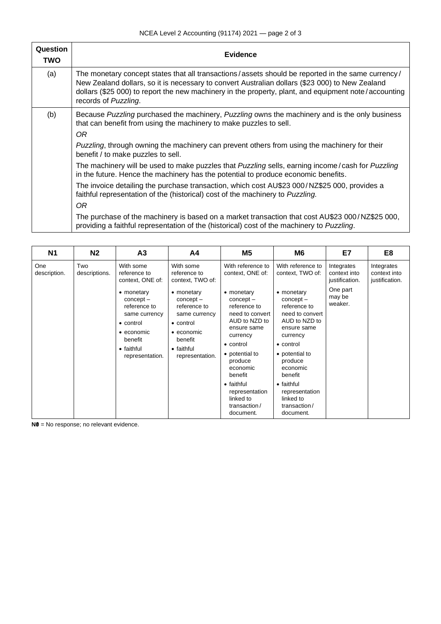| Question<br>TWO | <b>Evidence</b>                                                                                                                                                                                                                                                                                                                      |
|-----------------|--------------------------------------------------------------------------------------------------------------------------------------------------------------------------------------------------------------------------------------------------------------------------------------------------------------------------------------|
| (a)             | The monetary concept states that all transactions/assets should be reported in the same currency/<br>New Zealand dollars, so it is necessary to convert Australian dollars (\$23 000) to New Zealand<br>dollars (\$25 000) to report the new machinery in the property, plant, and equipment note/accounting<br>records of Puzzling. |
| (b)             | Because Puzzling purchased the machinery, Puzzling owns the machinery and is the only business<br>that can benefit from using the machinery to make puzzles to sell.<br>0R                                                                                                                                                           |
|                 | <i>Puzzling</i> , through owning the machinery can prevent others from using the machinery for their<br>benefit / to make puzzles to sell.                                                                                                                                                                                           |
|                 | The machinery will be used to make puzzles that Puzzling sells, earning income/cash for Puzzling<br>in the future. Hence the machinery has the potential to produce economic benefits.                                                                                                                                               |
|                 | The invoice detailing the purchase transaction, which cost AU\$23 000/NZ\$25 000, provides a<br>faithful representation of the (historical) cost of the machinery to Puzzling.<br>OR.                                                                                                                                                |
|                 | The purchase of the machinery is based on a market transaction that cost AU\$23 000/NZ\$25 000,<br>providing a faithful representation of the (historical) cost of the machinery to Puzzling.                                                                                                                                        |
|                 |                                                                                                                                                                                                                                                                                                                                      |

| N <sub>1</sub>      | N <sub>2</sub>       | A <sub>3</sub>                                                                                                                                                                             | Α4                                                                                                                                                                                         | M <sub>5</sub>                                                                                                                                                                                                     | M6                                                                                                                                                                                                                         | E7                                                                            | E8                                           |
|---------------------|----------------------|--------------------------------------------------------------------------------------------------------------------------------------------------------------------------------------------|--------------------------------------------------------------------------------------------------------------------------------------------------------------------------------------------|--------------------------------------------------------------------------------------------------------------------------------------------------------------------------------------------------------------------|----------------------------------------------------------------------------------------------------------------------------------------------------------------------------------------------------------------------------|-------------------------------------------------------------------------------|----------------------------------------------|
| One<br>description. | Two<br>descriptions. | With some<br>reference to<br>context, ONE of:<br>• monetary<br>$concept -$<br>reference to<br>same currency<br>• control<br>$\bullet$ economic<br>benefit<br>• faithful<br>representation. | With some<br>reference to<br>context, TWO of:<br>• monetary<br>$concept -$<br>reference to<br>same currency<br>• control<br>$\bullet$ economic<br>benefit<br>• faithful<br>representation. | With reference to<br>context, ONE of:<br>• monetary<br>$concept -$<br>reference to<br>need to convert<br>AUD to NZD to<br>ensure same<br>currency<br>• control<br>• potential to<br>produce<br>economic<br>benefit | With reference to<br>context, TWO of:<br>• monetary<br>$concept -$<br>reference to<br>need to convert<br>AUD to NZD to<br>ensure same<br>currency<br>$\bullet$ control<br>• potential to<br>produce<br>economic<br>benefit | Integrates<br>context into<br>justification.<br>One part<br>may be<br>weaker. | Integrates<br>context into<br>justification. |
|                     |                      |                                                                                                                                                                                            |                                                                                                                                                                                            | • faithful<br>representation<br>linked to<br>transaction/<br>document.                                                                                                                                             | • faithful<br>representation<br>linked to<br>transaction/<br>document.                                                                                                                                                     |                                                                               |                                              |

**N0** = No response; no relevant evidence.